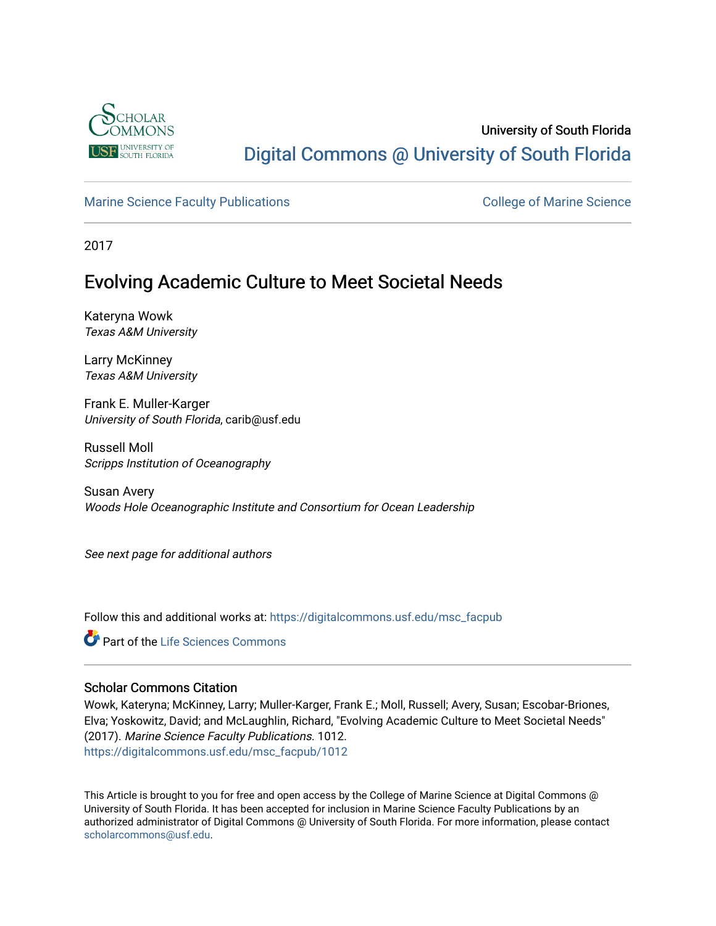

# University of South Florida [Digital Commons @ University of South Florida](https://digitalcommons.usf.edu/)

# [Marine Science Faculty Publications](https://digitalcommons.usf.edu/msc_facpub) **College of Marine Science** College of Marine Science

2017

# Evolving Academic Culture to Meet Societal Needs

Kateryna Wowk Texas A&M University

Larry McKinney Texas A&M University

Frank E. Muller-Karger University of South Florida, carib@usf.edu

Russell Moll Scripps Institution of Oceanography

Susan Avery Woods Hole Oceanographic Institute and Consortium for Ocean Leadership

See next page for additional authors

Follow this and additional works at: [https://digitalcommons.usf.edu/msc\\_facpub](https://digitalcommons.usf.edu/msc_facpub?utm_source=digitalcommons.usf.edu%2Fmsc_facpub%2F1012&utm_medium=PDF&utm_campaign=PDFCoverPages) 



# Scholar Commons Citation

Wowk, Kateryna; McKinney, Larry; Muller-Karger, Frank E.; Moll, Russell; Avery, Susan; Escobar-Briones, Elva; Yoskowitz, David; and McLaughlin, Richard, "Evolving Academic Culture to Meet Societal Needs" (2017). Marine Science Faculty Publications. 1012. [https://digitalcommons.usf.edu/msc\\_facpub/1012](https://digitalcommons.usf.edu/msc_facpub/1012?utm_source=digitalcommons.usf.edu%2Fmsc_facpub%2F1012&utm_medium=PDF&utm_campaign=PDFCoverPages) 

This Article is brought to you for free and open access by the College of Marine Science at Digital Commons @ University of South Florida. It has been accepted for inclusion in Marine Science Faculty Publications by an authorized administrator of Digital Commons @ University of South Florida. For more information, please contact [scholarcommons@usf.edu.](mailto:scholarcommons@usf.edu)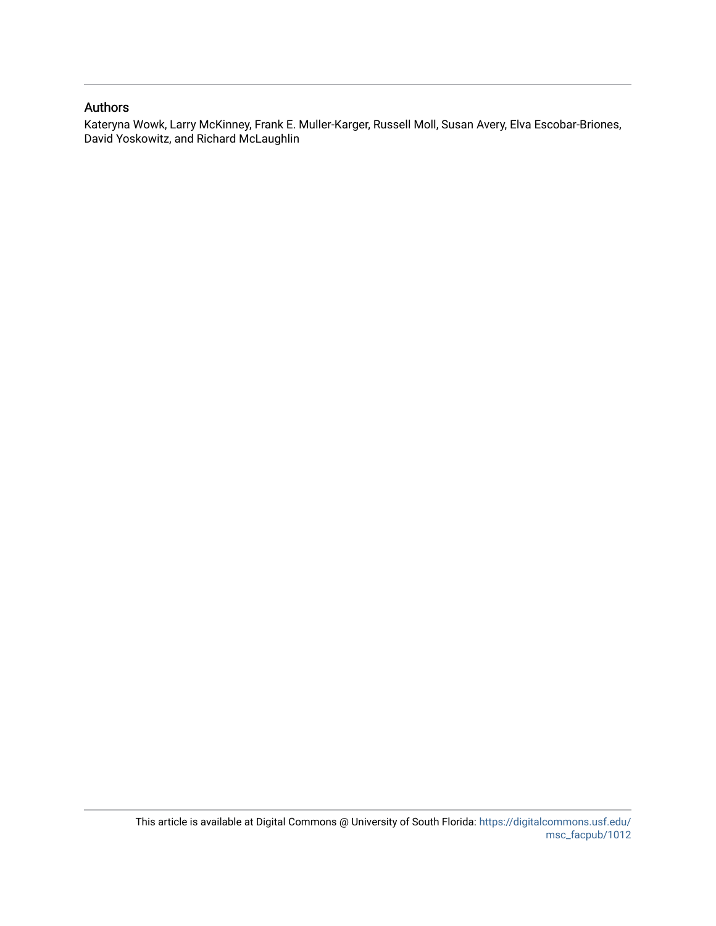## Authors

Kateryna Wowk, Larry McKinney, Frank E. Muller-Karger, Russell Moll, Susan Avery, Elva Escobar-Briones, David Yoskowitz, and Richard McLaughlin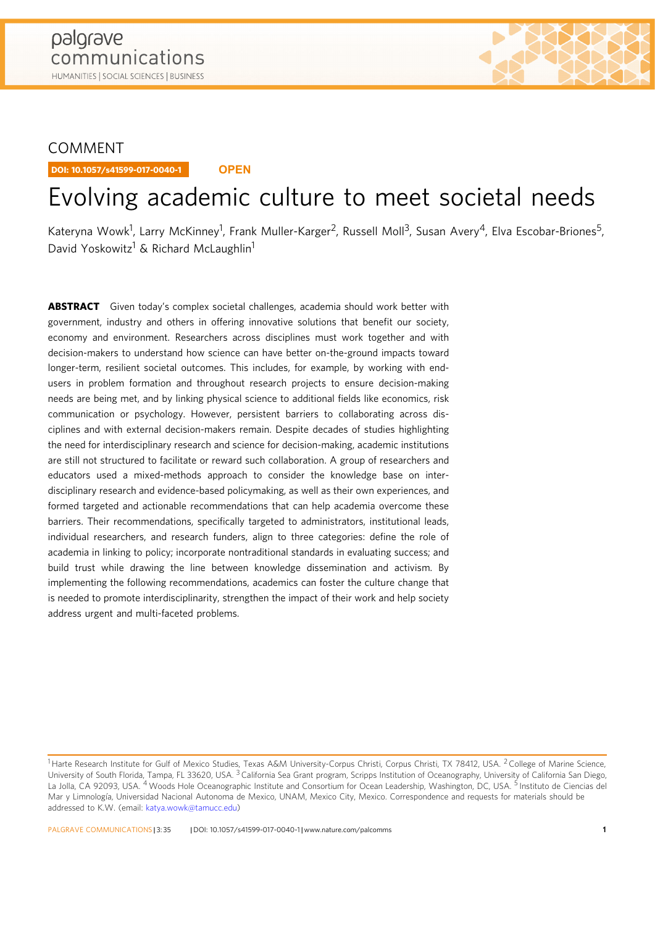

# COMMENT

DOI: 10.1057/s41599-017-0040-1 **OPEN**

# Evolving academic culture to meet societal needs

Kateryna Wowk<sup>1</sup>, Larry McKinney<sup>1</sup>, Frank Muller-Karger<sup>2</sup>, Russell Moll<sup>3</sup>, Susan Avery<sup>4</sup>, Elva Escobar-Briones<sup>5</sup>, David Yoskowitz<sup>1</sup> & Richard McLaughlin<sup>1</sup>

ABSTRACT Given today's complex societal challenges, academia should work better with government, industry and others in offering innovative solutions that benefit our society, economy and environment. Researchers across disciplines must work together and with decision-makers to understand how science can have better on-the-ground impacts toward longer-term, resilient societal outcomes. This includes, for example, by working with endusers in problem formation and throughout research projects to ensure decision-making needs are being met, and by linking physical science to additional fields like economics, risk communication or psychology. However, persistent barriers to collaborating across disciplines and with external decision-makers remain. Despite decades of studies highlighting the need for interdisciplinary research and science for decision-making, academic institutions are still not structured to facilitate or reward such collaboration. A group of researchers and educators used a mixed-methods approach to consider the knowledge base on interdisciplinary research and evidence-based policymaking, as well as their own experiences, and formed targeted and actionable recommendations that can help academia overcome these barriers. Their recommendations, specifically targeted to administrators, institutional leads, individual researchers, and research funders, align to three categories: define the role of academia in linking to policy; incorporate nontraditional standards in evaluating success; and build trust while drawing the line between knowledge dissemination and activism. By implementing the following recommendations, academics can foster the culture change that is needed to promote interdisciplinarity, strengthen the impact of their work and help society address urgent and multi-faceted problems.

<sup>&</sup>lt;sup>1</sup> Harte Research Institute for Gulf of Mexico Studies, Texas A&M University-Corpus Christi, Corpus Christi, TX 78412, USA. <sup>2</sup> College of Marine Science, University of South Florida, Tampa, FL 33620, USA. <sup>3</sup> California Sea Grant program, Scripps Institution of Oceanography, University of California San Diego, La Jolla, CA 92093, USA. <sup>4</sup> Woods Hole Oceanographic Institute and Consortium for Ocean Leadership, Washington, DC, USA. <sup>5</sup> Instituto de Ciencias del Mar y Limnología, Universidad Nacional Autonoma de Mexico, UNAM, Mexico City, Mexico. Correspondence and requests for materials should be addressed to K.W. (email: [katya.wowk@tamucc.edu](mailto:katya.wowk@tamucc.edu))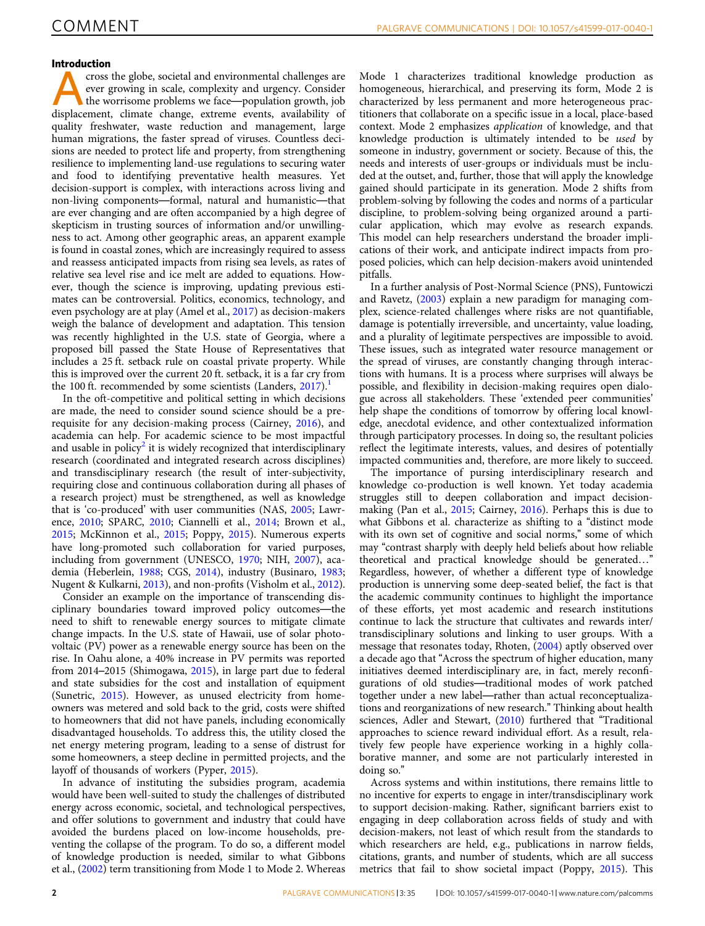#### Introduction

Tross the globe, societal and environmental challenges are<br>
the worrisome problems we face—population growth, job<br>
displacement climate change extreme events availability of ever growing in scale, complexity and urgency. Consider displacement, climate change, extreme events, availability of quality freshwater, waste reduction and management, large human migrations, the faster spread of viruses. Countless decisions are needed to protect life and property, from strengthening resilience to implementing land-use regulations to securing water and food to identifying preventative health measures. Yet decision-support is complex, with interactions across living and non-living components—formal, natural and humanistic—that are ever changing and are often accompanied by a high degree of skepticism in trusting sources of information and/or unwillingness to act. Among other geographic areas, an apparent example is found in coastal zones, which are increasingly required to assess and reassess anticipated impacts from rising sea levels, as rates of relative sea level rise and ice melt are added to equations. However, though the science is improving, updating previous estimates can be controversial. Politics, economics, technology, and even psychology are at play (Amel et al., [2017\)](#page-7-0) as decision-makers weigh the balance of development and adaptation. This tension was recently highlighted in the U.S. state of Georgia, where a proposed bill passed the State House of Representatives that includes a 25 ft. setback rule on coastal private property. While this is improved over the current 20 ft. setback, it is a far cry from the [1](#page-7-0)00 ft. recommended by some scientists (Landers,  $2017$ ).<sup>1</sup>

In the oft-competitive and political setting in which decisions are made, the need to consider sound science should be a prerequisite for any decision-making process (Cairney, [2016](#page-7-0)), and academia can help. For academic science to be most impactful and usable in policy<sup>2</sup> it is widely recognized that interdisciplinary research (coordinated and integrated research across disciplines) and transdisciplinary research (the result of inter-subjectivity, requiring close and continuous collaboration during all phases of a research project) must be strengthened, as well as knowledge that is 'co-produced' with user communities (NAS, [2005;](#page-7-0) Lawrence, [2010](#page-7-0); SPARC, [2010](#page-8-0); Ciannelli et al., [2014;](#page-7-0) Brown et al., [2015;](#page-7-0) McKinnon et al., [2015;](#page-7-0) Poppy, [2015](#page-7-0)). Numerous experts have long-promoted such collaboration for varied purposes, including from government (UNESCO, [1970](#page-8-0); NIH, [2007\)](#page-7-0), academia (Heberlein, [1988](#page-7-0); CGS, [2014](#page-7-0)), industry (Businaro, [1983;](#page-7-0) Nugent & Kulkarni, [2013](#page-7-0)), and non-profits (Visholm et al., [2012](#page-8-0)).

Consider an example on the importance of transcending disciplinary boundaries toward improved policy outcomes—the need to shift to renewable energy sources to mitigate climate change impacts. In the U.S. state of Hawaii, use of solar photovoltaic (PV) power as a renewable energy source has been on the rise. In Oahu alone, a 40% increase in PV permits was reported from 2014–2015 (Shimogawa, [2015](#page-8-0)), in large part due to federal and state subsidies for the cost and installation of equipment (Sunetric, [2015\)](#page-8-0). However, as unused electricity from homeowners was metered and sold back to the grid, costs were shifted to homeowners that did not have panels, including economically disadvantaged households. To address this, the utility closed the net energy metering program, leading to a sense of distrust for some homeowners, a steep decline in permitted projects, and the layoff of thousands of workers (Pyper, [2015\)](#page-7-0).

In advance of instituting the subsidies program, academia would have been well-suited to study the challenges of distributed energy across economic, societal, and technological perspectives, and offer solutions to government and industry that could have avoided the burdens placed on low-income households, preventing the collapse of the program. To do so, a different model of knowledge production is needed, similar to what Gibbons et al., ([2002\)](#page-7-0) term transitioning from Mode 1 to Mode 2. Whereas

Mode 1 characterizes traditional knowledge production as homogeneous, hierarchical, and preserving its form, Mode 2 is characterized by less permanent and more heterogeneous practitioners that collaborate on a specific issue in a local, place-based context. Mode 2 emphasizes application of knowledge, and that knowledge production is ultimately intended to be used by someone in industry, government or society. Because of this, the needs and interests of user-groups or individuals must be included at the outset, and, further, those that will apply the knowledge gained should participate in its generation. Mode 2 shifts from problem-solving by following the codes and norms of a particular discipline, to problem-solving being organized around a particular application, which may evolve as research expands. This model can help researchers understand the broader implications of their work, and anticipate indirect impacts from proposed policies, which can help decision-makers avoid unintended pitfalls.

In a further analysis of Post-Normal Science (PNS), Funtowiczi and Ravetz, [\(2003](#page-7-0)) explain a new paradigm for managing complex, science-related challenges where risks are not quantifiable, damage is potentially irreversible, and uncertainty, value loading, and a plurality of legitimate perspectives are impossible to avoid. These issues, such as integrated water resource management or the spread of viruses, are constantly changing through interactions with humans. It is a process where surprises will always be possible, and flexibility in decision-making requires open dialogue across all stakeholders. These 'extended peer communities' help shape the conditions of tomorrow by offering local knowledge, anecdotal evidence, and other contextualized information through participatory processes. In doing so, the resultant policies reflect the legitimate interests, values, and desires of potentially impacted communities and, therefore, are more likely to succeed.

The importance of pursing interdisciplinary research and knowledge co-production is well known. Yet today academia struggles still to deepen collaboration and impact decisionmaking (Pan et al., [2015](#page-7-0); Cairney, [2016\)](#page-7-0). Perhaps this is due to what Gibbons et al. characterize as shifting to a "distinct mode with its own set of cognitive and social norms," some of which may "contrast sharply with deeply held beliefs about how reliable theoretical and practical knowledge should be generated…" Regardless, however, of whether a different type of knowledge production is unnerving some deep-seated belief, the fact is that the academic community continues to highlight the importance of these efforts, yet most academic and research institutions continue to lack the structure that cultivates and rewards inter/ transdisciplinary solutions and linking to user groups. With a message that resonates today, Rhoten, ([2004\)](#page-7-0) aptly observed over a decade ago that "Across the spectrum of higher education, many initiatives deemed interdisciplinary are, in fact, merely reconfigurations of old studies—traditional modes of work patched together under a new label—rather than actual reconceptualizations and reorganizations of new research." Thinking about health sciences, Adler and Stewart, ([2010\)](#page-7-0) furthered that "Traditional approaches to science reward individual effort. As a result, relatively few people have experience working in a highly collaborative manner, and some are not particularly interested in doing so."

Across systems and within institutions, there remains little to no incentive for experts to engage in inter/transdisciplinary work to support decision-making. Rather, significant barriers exist to engaging in deep collaboration across fields of study and with decision-makers, not least of which result from the standards to which researchers are held, e.g., publications in narrow fields, citations, grants, and number of students, which are all success metrics that fail to show societal impact (Poppy, [2015\)](#page-7-0). This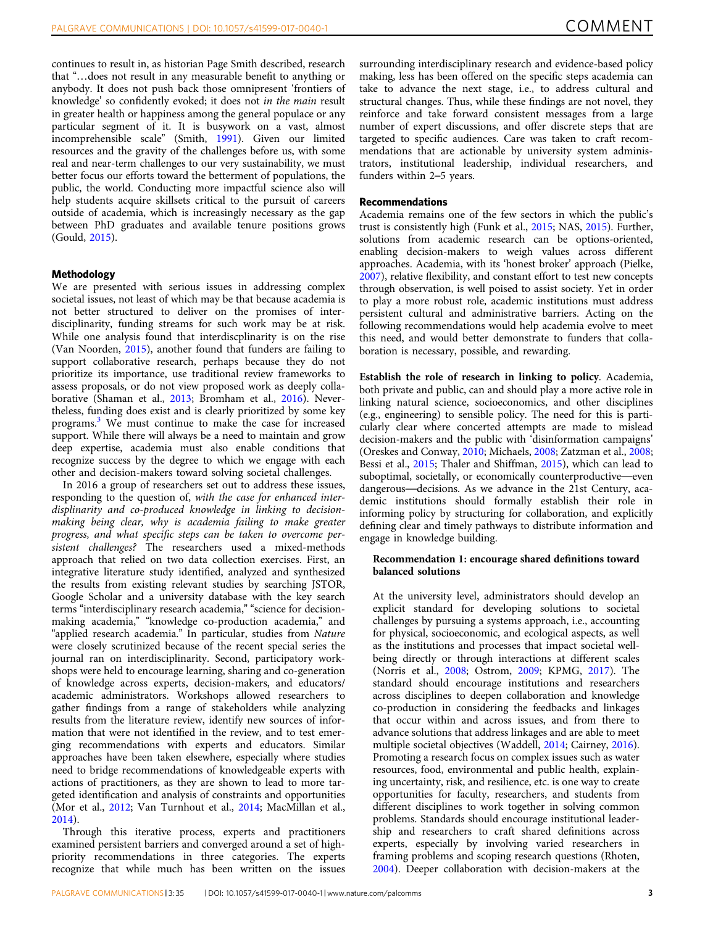continues to result in, as historian Page Smith described, research that "…does not result in any measurable benefit to anything or anybody. It does not push back those omnipresent 'frontiers of knowledge' so confidently evoked; it does not in the main result in greater health or happiness among the general populace or any particular segment of it. It is busywork on a vast, almost incomprehensible scale" (Smith, [1991\)](#page-8-0). Given our limited resources and the gravity of the challenges before us, with some real and near-term challenges to our very sustainability, we must better focus our efforts toward the betterment of populations, the public, the world. Conducting more impactful science also will help students acquire skillsets critical to the pursuit of careers outside of academia, which is increasingly necessary as the gap between PhD graduates and available tenure positions grows (Gould, [2015\)](#page-7-0).

#### Methodology

We are presented with serious issues in addressing complex societal issues, not least of which may be that because academia is not better structured to deliver on the promises of interdisciplinarity, funding streams for such work may be at risk. While one analysis found that interdiscplinarity is on the rise (Van Noorden, [2015\)](#page-8-0), another found that funders are failing to support collaborative research, perhaps because they do not prioritize its importance, use traditional review frameworks to assess proposals, or do not view proposed work as deeply collaborative (Shaman et al., [2013;](#page-8-0) Bromham et al., [2016\)](#page-7-0). Nevertheless, funding does exist and is clearly prioritized by some key programs.[3](#page-7-0) We must continue to make the case for increased support. While there will always be a need to maintain and grow deep expertise, academia must also enable conditions that recognize success by the degree to which we engage with each other and decision-makers toward solving societal challenges.

In 2016 a group of researchers set out to address these issues, responding to the question of, with the case for enhanced interdisplinarity and co-produced knowledge in linking to decisionmaking being clear, why is academia failing to make greater progress, and what specific steps can be taken to overcome persistent challenges? The researchers used a mixed-methods approach that relied on two data collection exercises. First, an integrative literature study identified, analyzed and synthesized the results from existing relevant studies by searching JSTOR, Google Scholar and a university database with the key search terms "interdisciplinary research academia," "science for decisionmaking academia," "knowledge co-production academia," and "applied research academia." In particular, studies from Nature were closely scrutinized because of the recent special series the journal ran on interdisciplinarity. Second, participatory workshops were held to encourage learning, sharing and co-generation of knowledge across experts, decision-makers, and educators/ academic administrators. Workshops allowed researchers to gather findings from a range of stakeholders while analyzing results from the literature review, identify new sources of information that were not identified in the review, and to test emerging recommendations with experts and educators. Similar approaches have been taken elsewhere, especially where studies need to bridge recommendations of knowledgeable experts with actions of practitioners, as they are shown to lead to more targeted identification and analysis of constraints and opportunities (Mor et al., [2012](#page-7-0); Van Turnhout et al., [2014;](#page-8-0) MacMillan et al., [2014\)](#page-7-0).

Through this iterative process, experts and practitioners examined persistent barriers and converged around a set of highpriority recommendations in three categories. The experts recognize that while much has been written on the issues

surrounding interdisciplinary research and evidence-based policy making, less has been offered on the specific steps academia can take to advance the next stage, i.e., to address cultural and structural changes. Thus, while these findings are not novel, they reinforce and take forward consistent messages from a large number of expert discussions, and offer discrete steps that are targeted to specific audiences. Care was taken to craft recommendations that are actionable by university system administrators, institutional leadership, individual researchers, and funders within 2–5 years.

#### Recommendations

Academia remains one of the few sectors in which the public's trust is consistently high (Funk et al., [2015;](#page-7-0) NAS, [2015\)](#page-7-0). Further, solutions from academic research can be options-oriented, enabling decision-makers to weigh values across different approaches. Academia, with its 'honest broker' approach (Pielke, [2007\)](#page-7-0), relative flexibility, and constant effort to test new concepts through observation, is well poised to assist society. Yet in order to play a more robust role, academic institutions must address persistent cultural and administrative barriers. Acting on the following recommendations would help academia evolve to meet this need, and would better demonstrate to funders that collaboration is necessary, possible, and rewarding.

Establish the role of research in linking to policy. Academia, both private and public, can and should play a more active role in linking natural science, socioeconomics, and other disciplines (e.g., engineering) to sensible policy. The need for this is particularly clear where concerted attempts are made to mislead decision-makers and the public with 'disinformation campaigns' (Oreskes and Conway, [2010;](#page-7-0) Michaels, [2008](#page-7-0); Zatzman et al., [2008;](#page-8-0) Bessi et al., [2015](#page-7-0); Thaler and Shiffman, [2015](#page-8-0)), which can lead to suboptimal, societally, or economically counterproductive—even dangerous—decisions. As we advance in the 21st Century, academic institutions should formally establish their role in informing policy by structuring for collaboration, and explicitly defining clear and timely pathways to distribute information and engage in knowledge building.

#### Recommendation 1: encourage shared definitions toward balanced solutions

At the university level, administrators should develop an explicit standard for developing solutions to societal challenges by pursuing a systems approach, i.e., accounting for physical, socioeconomic, and ecological aspects, as well as the institutions and processes that impact societal wellbeing directly or through interactions at different scales (Norris et al., [2008;](#page-7-0) Ostrom, [2009;](#page-7-0) KPMG, [2017](#page-7-0)). The standard should encourage institutions and researchers across disciplines to deepen collaboration and knowledge co-production in considering the feedbacks and linkages that occur within and across issues, and from there to advance solutions that address linkages and are able to meet multiple societal objectives (Waddell, [2014;](#page-8-0) Cairney, [2016](#page-7-0)). Promoting a research focus on complex issues such as water resources, food, environmental and public health, explaining uncertainty, risk, and resilience, etc. is one way to create opportunities for faculty, researchers, and students from different disciplines to work together in solving common problems. Standards should encourage institutional leadership and researchers to craft shared definitions across experts, especially by involving varied researchers in framing problems and scoping research questions (Rhoten, [2004](#page-7-0)). Deeper collaboration with decision-makers at the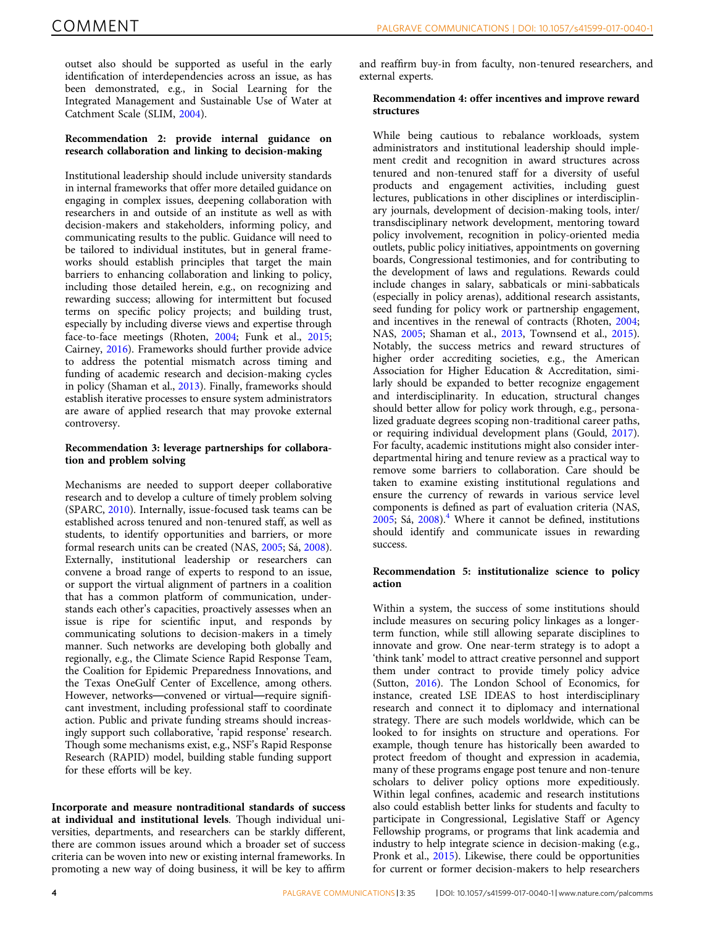outset also should be supported as useful in the early identification of interdependencies across an issue, as has been demonstrated, e.g., in Social Learning for the Integrated Management and Sustainable Use of Water at Catchment Scale (SLIM, [2004](#page-8-0)).

### Recommendation 2: provide internal guidance on research collaboration and linking to decision-making

Institutional leadership should include university standards in internal frameworks that offer more detailed guidance on engaging in complex issues, deepening collaboration with researchers in and outside of an institute as well as with decision-makers and stakeholders, informing policy, and communicating results to the public. Guidance will need to be tailored to individual institutes, but in general frameworks should establish principles that target the main barriers to enhancing collaboration and linking to policy, including those detailed herein, e.g., on recognizing and rewarding success; allowing for intermittent but focused terms on specific policy projects; and building trust, especially by including diverse views and expertise through face-to-face meetings (Rhoten, [2004;](#page-7-0) Funk et al., [2015](#page-7-0); Cairney, [2016\)](#page-7-0). Frameworks should further provide advice to address the potential mismatch across timing and funding of academic research and decision-making cycles in policy (Shaman et al., [2013\)](#page-8-0). Finally, frameworks should establish iterative processes to ensure system administrators are aware of applied research that may provoke external controversy.

## Recommendation 3: leverage partnerships for collaboration and problem solving

Mechanisms are needed to support deeper collaborative research and to develop a culture of timely problem solving (SPARC, [2010\)](#page-8-0). Internally, issue-focused task teams can be established across tenured and non-tenured staff, as well as students, to identify opportunities and barriers, or more formal research units can be created (NAS, [2005;](#page-7-0) Sá, [2008](#page-8-0)). Externally, institutional leadership or researchers can convene a broad range of experts to respond to an issue, or support the virtual alignment of partners in a coalition that has a common platform of communication, understands each other's capacities, proactively assesses when an issue is ripe for scientific input, and responds by communicating solutions to decision-makers in a timely manner. Such networks are developing both globally and regionally, e.g., the Climate Science Rapid Response Team, the Coalition for Epidemic Preparedness Innovations, and the Texas OneGulf Center of Excellence, among others. However, networks—convened or virtual—require significant investment, including professional staff to coordinate action. Public and private funding streams should increasingly support such collaborative, 'rapid response' research. Though some mechanisms exist, e.g., NSF's Rapid Response Research (RAPID) model, building stable funding support for these efforts will be key.

Incorporate and measure nontraditional standards of success at individual and institutional levels. Though individual universities, departments, and researchers can be starkly different, there are common issues around which a broader set of success criteria can be woven into new or existing internal frameworks. In promoting a new way of doing business, it will be key to affirm

and reaffirm buy-in from faculty, non-tenured researchers, and external experts.

#### Recommendation 4: offer incentives and improve reward structures

While being cautious to rebalance workloads, system administrators and institutional leadership should implement credit and recognition in award structures across tenured and non-tenured staff for a diversity of useful products and engagement activities, including guest lectures, publications in other disciplines or interdisciplinary journals, development of decision-making tools, inter/ transdisciplinary network development, mentoring toward policy involvement, recognition in policy-oriented media outlets, public policy initiatives, appointments on governing boards, Congressional testimonies, and for contributing to the development of laws and regulations. Rewards could include changes in salary, sabbaticals or mini-sabbaticals (especially in policy arenas), additional research assistants, seed funding for policy work or partnership engagement, and incentives in the renewal of contracts (Rhoten, [2004](#page-7-0); NAS, [2005](#page-7-0); Shaman et al., [2013,](#page-8-0) Townsend et al., [2015](#page-8-0)). Notably, the success metrics and reward structures of higher order accrediting societies, e.g., the American Association for Higher Education & Accreditation, similarly should be expanded to better recognize engagement and interdisciplinarity. In education, structural changes should better allow for policy work through, e.g., personalized graduate degrees scoping non-traditional career paths, or requiring individual development plans (Gould, [2017](#page-7-0)). For faculty, academic institutions might also consider interdepartmental hiring and tenure review as a practical way to remove some barriers to collaboration. Care should be taken to examine existing institutional regulations and ensure the currency of rewards in various service level components is defined as part of evaluation criteria (NAS,  $2005$ ; Sá,  $2008$ ).<sup>[4](#page-7-0)</sup> Where it cannot be defined, institutions should identify and communicate issues in rewarding success.

### Recommendation 5: institutionalize science to policy action

Within a system, the success of some institutions should include measures on securing policy linkages as a longerterm function, while still allowing separate disciplines to innovate and grow. One near-term strategy is to adopt a 'think tank' model to attract creative personnel and support them under contract to provide timely policy advice (Sutton, [2016](#page-8-0)). The London School of Economics, for instance, created LSE IDEAS to host interdisciplinary research and connect it to diplomacy and international strategy. There are such models worldwide, which can be looked to for insights on structure and operations. For example, though tenure has historically been awarded to protect freedom of thought and expression in academia, many of these programs engage post tenure and non-tenure scholars to deliver policy options more expeditiously. Within legal confines, academic and research institutions also could establish better links for students and faculty to participate in Congressional, Legislative Staff or Agency Fellowship programs, or programs that link academia and industry to help integrate science in decision-making (e.g., Pronk et al., [2015\)](#page-7-0). Likewise, there could be opportunities for current or former decision-makers to help researchers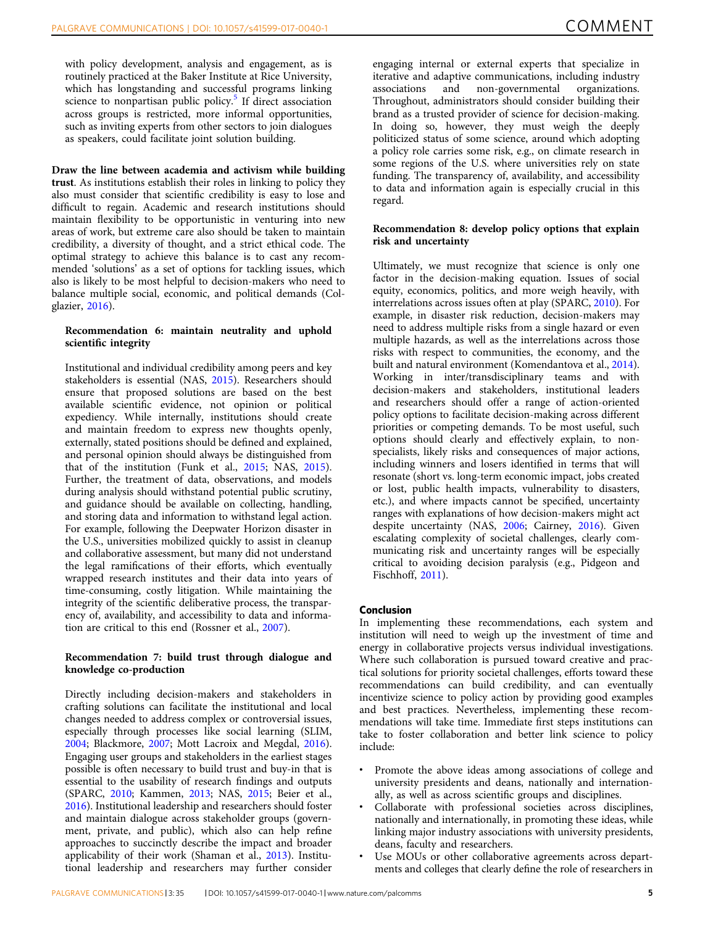with policy development, analysis and engagement, as is routinely practiced at the Baker Institute at Rice University, which has longstanding and successful programs linking science to nonpartisan public policy.<sup>[5](#page-7-0)</sup> If direct association across groups is restricted, more informal opportunities, such as inviting experts from other sectors to join dialogues as speakers, could facilitate joint solution building.

#### Draw the line between academia and activism while building

trust. As institutions establish their roles in linking to policy they also must consider that scientific credibility is easy to lose and difficult to regain. Academic and research institutions should maintain flexibility to be opportunistic in venturing into new areas of work, but extreme care also should be taken to maintain credibility, a diversity of thought, and a strict ethical code. The optimal strategy to achieve this balance is to cast any recommended 'solutions' as a set of options for tackling issues, which also is likely to be most helpful to decision-makers who need to balance multiple social, economic, and political demands (Colglazier, [2016\)](#page-7-0).

#### Recommendation 6: maintain neutrality and uphold scientific integrity

Institutional and individual credibility among peers and key stakeholders is essential (NAS, [2015\)](#page-7-0). Researchers should ensure that proposed solutions are based on the best available scientific evidence, not opinion or political expediency. While internally, institutions should create and maintain freedom to express new thoughts openly, externally, stated positions should be defined and explained, and personal opinion should always be distinguished from that of the institution (Funk et al., [2015](#page-7-0); NAS, [2015](#page-7-0)). Further, the treatment of data, observations, and models during analysis should withstand potential public scrutiny, and guidance should be available on collecting, handling, and storing data and information to withstand legal action. For example, following the Deepwater Horizon disaster in the U.S., universities mobilized quickly to assist in cleanup and collaborative assessment, but many did not understand the legal ramifications of their efforts, which eventually wrapped research institutes and their data into years of time-consuming, costly litigation. While maintaining the integrity of the scientific deliberative process, the transparency of, availability, and accessibility to data and information are critical to this end (Rossner et al., [2007\)](#page-8-0).

#### Recommendation 7: build trust through dialogue and knowledge co-production

Directly including decision-makers and stakeholders in crafting solutions can facilitate the institutional and local changes needed to address complex or controversial issues, especially through processes like social learning (SLIM, [2004](#page-8-0); Blackmore, [2007;](#page-7-0) Mott Lacroix and Megdal, [2016](#page-7-0)). Engaging user groups and stakeholders in the earliest stages possible is often necessary to build trust and buy-in that is essential to the usability of research findings and outputs (SPARC, [2010](#page-8-0); Kammen, [2013;](#page-7-0) NAS, [2015](#page-7-0); Beier et al., [2016](#page-7-0)). Institutional leadership and researchers should foster and maintain dialogue across stakeholder groups (government, private, and public), which also can help refine approaches to succinctly describe the impact and broader applicability of their work (Shaman et al., [2013\)](#page-8-0). Institutional leadership and researchers may further consider

engaging internal or external experts that specialize in iterative and adaptive communications, including industry non-governmental Throughout, administrators should consider building their brand as a trusted provider of science for decision-making. In doing so, however, they must weigh the deeply politicized status of some science, around which adopting a policy role carries some risk, e.g., on climate research in some regions of the U.S. where universities rely on state funding. The transparency of, availability, and accessibility to data and information again is especially crucial in this regard.

#### Recommendation 8: develop policy options that explain risk and uncertainty

Ultimately, we must recognize that science is only one factor in the decision-making equation. Issues of social equity, economics, politics, and more weigh heavily, with interrelations across issues often at play (SPARC, [2010\)](#page-8-0). For example, in disaster risk reduction, decision-makers may need to address multiple risks from a single hazard or even multiple hazards, as well as the interrelations across those risks with respect to communities, the economy, and the built and natural environment (Komendantova et al., [2014](#page-7-0)). Working in inter/transdisciplinary teams and with decision-makers and stakeholders, institutional leaders and researchers should offer a range of action-oriented policy options to facilitate decision-making across different priorities or competing demands. To be most useful, such options should clearly and effectively explain, to nonspecialists, likely risks and consequences of major actions, including winners and losers identified in terms that will resonate (short vs. long-term economic impact, jobs created or lost, public health impacts, vulnerability to disasters, etc.), and where impacts cannot be specified, uncertainty ranges with explanations of how decision-makers might act despite uncertainty (NAS, [2006](#page-7-0); Cairney, [2016\)](#page-7-0). Given escalating complexity of societal challenges, clearly communicating risk and uncertainty ranges will be especially critical to avoiding decision paralysis (e.g., Pidgeon and Fischhoff, [2011](#page-7-0)).

### Conclusion

In implementing these recommendations, each system and institution will need to weigh up the investment of time and energy in collaborative projects versus individual investigations. Where such collaboration is pursued toward creative and practical solutions for priority societal challenges, efforts toward these recommendations can build credibility, and can eventually incentivize science to policy action by providing good examples and best practices. Nevertheless, implementing these recommendations will take time. Immediate first steps institutions can take to foster collaboration and better link science to policy include:

- Promote the above ideas among associations of college and university presidents and deans, nationally and internationally, as well as across scientific groups and disciplines.
- Collaborate with professional societies across disciplines, nationally and internationally, in promoting these ideas, while linking major industry associations with university presidents, deans, faculty and researchers.
- Use MOUs or other collaborative agreements across departments and colleges that clearly define the role of researchers in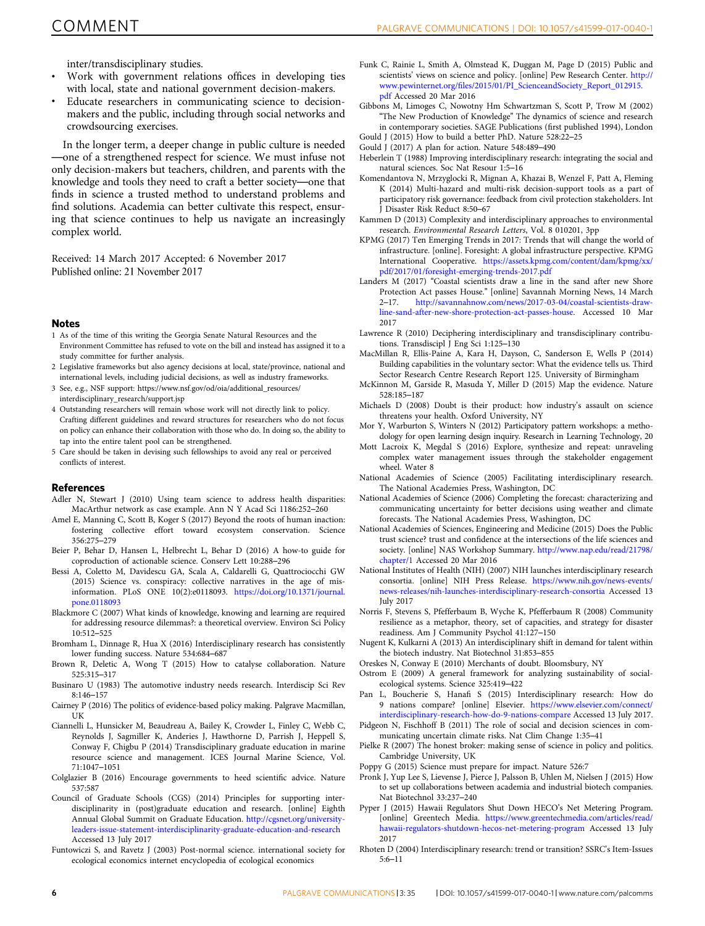inter/transdisciplinary studies.

- <span id="page-7-0"></span>• Work with government relations offices in developing ties with local, state and national government decision-makers.
- Educate researchers in communicating science to decisionmakers and the public, including through social networks and crowdsourcing exercises.

In the longer term, a deeper change in public culture is needed —one of a strengthened respect for science. We must infuse not only decision-makers but teachers, children, and parents with the knowledge and tools they need to craft a better society—one that finds in science a trusted method to understand problems and find solutions. Academia can better cultivate this respect, ensuring that science continues to help us navigate an increasingly complex world.

Received: 14 March 2017 Accepted: 6 November 2017 Published online: 21 November 2017

#### **Notes**

- 1 As of the time of this writing the Georgia Senate Natural Resources and the Environment Committee has refused to vote on the bill and instead has assigned it to a study committee for further analysis.
- 2 Legislative frameworks but also agency decisions at local, state/province, national and international levels, including judicial decisions, as well as industry frameworks.
- 3 See, e.g., NSF support: [https://www.nsf.gov/od/oia/additional\\_resources/](https://www.nsf.gov/od/oia/additional_resources/interdisciplinary_research/support.jsp) [interdisciplinary\\_research/support.jsp](https://www.nsf.gov/od/oia/additional_resources/interdisciplinary_research/support.jsp)
- 4 Outstanding researchers will remain whose work will not directly link to policy. Crafting different guidelines and reward structures for researchers who do not focus on policy can enhance their collaboration with those who do. In doing so, the ability to tap into the entire talent pool can be strengthened.
- 5 Care should be taken in devising such fellowships to avoid any real or perceived conflicts of interest.

#### **References**

- Adler N, Stewart J (2010) Using team science to address health disparities: MacArthur network as case example. Ann N Y Acad Sci 1186:252–260
- Amel E, Manning C, Scott B, Koger S (2017) Beyond the roots of human inaction: fostering collective effort toward ecosystem conservation. Science 356:275–279
- Beier P, Behar D, Hansen L, Helbrecht L, Behar D (2016) A how-to guide for coproduction of actionable science. Conserv Lett 10:288–296
- Bessi A, Coletto M, Davidescu GA, Scala A, Caldarelli G, Quattrociocchi GW (2015) Science vs. conspiracy: collective narratives in the age of misinformation. PLoS ONE 10(2):e0118093. [https://doi.org/10.1371/journal.](http://dx.doi.org/10.1371/journal.pone.0118093) [pone.0118093](http://dx.doi.org/10.1371/journal.pone.0118093)
- Blackmore C (2007) What kinds of knowledge, knowing and learning are required for addressing resource dilemmas?: a theoretical overview. Environ Sci Policy 10:512–525
- Bromham L, Dinnage R, Hua X (2016) Interdisciplinary research has consistently lower funding success. Nature 534:684–687
- Brown R, Deletic A, Wong T (2015) How to catalyse collaboration. Nature 525:315–317
- Businaro U (1983) The automotive industry needs research. Interdiscip Sci Rev 8:146–157
- Cairney P (2016) The politics of evidence-based policy making. Palgrave Macmillan, UK
- Ciannelli L, Hunsicker M, Beaudreau A, Bailey K, Crowder L, Finley C, Webb C, Reynolds J, Sagmiller K, Anderies J, Hawthorne D, Parrish J, Heppell S, Conway F, Chigbu P (2014) Transdisciplinary graduate education in marine resource science and management. ICES Journal Marine Science, Vol. 71:1047–1051
- Colglazier B (2016) Encourage governments to heed scientific advice. Nature 537:587
- Council of Graduate Schools (CGS) (2014) Principles for supporting interdisciplinarity in (post)graduate education and research. [online] Eighth Annual Global Summit on Graduate Education. [http://cgsnet.org/university](http://cgsnet.org/university-leaders-issue-statement-interdisciplinarity-graduate-education-and-research)[leaders-issue-statement-interdisciplinarity-graduate-education-and-research](http://cgsnet.org/university-leaders-issue-statement-interdisciplinarity-graduate-education-and-research) Accessed 13 July 2017
- Funtowiczi S, and Ravetz J (2003) Post-normal science. international society for ecological economics internet encyclopedia of ecological economics
- Funk C, Rainie L, Smith A, Olmstead K, Duggan M, Page D (2015) Public and scientists' views on science and policy. [online] Pew Research Center. [http://](http://www.pewinternet.org/files/2015/01/PI_ScienceandSociety_Report_012915.pdf) www.pewinternet.org/fi[les/2015/01/PI\\_ScienceandSociety\\_Report\\_012915.](http://www.pewinternet.org/files/2015/01/PI_ScienceandSociety_Report_012915.pdf) [pdf](http://www.pewinternet.org/files/2015/01/PI_ScienceandSociety_Report_012915.pdf) Accessed 20 Mar 2016
- Gibbons M, Limoges C, Nowotny Hm Schwartzman S, Scott P, Trow M (2002) "The New Production of Knowledge" The dynamics of science and research in contemporary societies. SAGE Publications (first published 1994), London
- Gould J (2015) How to build a better PhD. Nature 528:22–25
- Gould J (2017) A plan for action. Nature 548:489–490
- Heberlein T (1988) Improving interdisciplinary research: integrating the social and natural sciences. Soc Nat Resour 1:5–16
- Komendantova N, Mrzyglocki R, Mignan A, Khazai B, Wenzel F, Patt A, Fleming K (2014) Multi-hazard and multi-risk decision-support tools as a part of participatory risk governance: feedback from civil protection stakeholders. Int J Disaster Risk Reduct 8:50–67
- Kammen D (2013) Complexity and interdisciplinary approaches to environmental research. Environmental Research Letters, Vol. 8 010201, 3pp
- KPMG (2017) Ten Emerging Trends in 2017: Trends that will change the world of infrastructure. [online]. Foresight: A global infrastructure perspective. KPMG International Cooperative. [https://assets.kpmg.com/content/dam/kpmg/xx/](https://assets.kpmg.com/content/dam/kpmg/xx/pdf/2017/01/foresight-emerging-trends-2017.pdf) [pdf/2017/01/foresight-emerging-trends-2017.pdf](https://assets.kpmg.com/content/dam/kpmg/xx/pdf/2017/01/foresight-emerging-trends-2017.pdf)
- Landers M (2017) "Coastal scientists draw a line in the sand after new Shore Protection Act passes House." [online] Savannah Morning News, 14 March 2-17. http://savannahnow.com/news/2017-03-04/coastal-scientists-draw-2–17. [http://savannahnow.com/news/2017-03-04/coastal-scientists-draw](http://savannahnow.com/news/2017-03-04/coastal-scientists-draw-line-sand-after-new-shore-protection-act-passes-house)[line-sand-after-new-shore-protection-act-passes-house](http://savannahnow.com/news/2017-03-04/coastal-scientists-draw-line-sand-after-new-shore-protection-act-passes-house). Accessed 10 Mar 2017
- Lawrence R (2010) Deciphering interdisciplinary and transdisciplinary contributions. Transdiscipl J Eng Sci 1:125–130
- MacMillan R, Ellis-Paine A, Kara H, Dayson, C, Sanderson E, Wells P (2014) Building capabilities in the voluntary sector: What the evidence tells us. Third Sector Research Centre Research Report 125. University of Birmingham
- McKinnon M, Garside R, Masuda Y, Miller D (2015) Map the evidence. Nature 528:185–187
- Michaels D (2008) Doubt is their product: how industry's assault on science threatens your health. Oxford University, NY
- Mor Y, Warburton S, Winters N (2012) Participatory pattern workshops: a methodology for open learning design inquiry. Research in Learning Technology, 20
- Mott Lacroix K, Megdal S (2016) Explore, synthesize and repeat: unraveling complex water management issues through the stakeholder engagement wheel. Water 8
- National Academies of Science (2005) Facilitating interdisciplinary research. The National Academies Press, Washington, DC
- National Academies of Science (2006) Completing the forecast: characterizing and communicating uncertainty for better decisions using weather and climate forecasts. The National Academies Press, Washington, DC
- National Academies of Sciences, Engineering and Medicine (2015) Does the Public trust science? trust and confidence at the intersections of the life sciences and society. [online] NAS Workshop Summary. [http://www.nap.edu/read/21798/](http://www.nap.edu/read/21798/chapter/1) [chapter/1](http://www.nap.edu/read/21798/chapter/1) Accessed 20 Mar 2016
- National Institutes of Health (NIH) (2007) NIH launches interdisciplinary research consortia. [online] NIH Press Release. [https://www.nih.gov/news-events/](https://www.nih.gov/news-events/news-releases/nih-launches-interdisciplinary-research-consortia) [news-releases/nih-launches-interdisciplinary-research-consortia](https://www.nih.gov/news-events/news-releases/nih-launches-interdisciplinary-research-consortia) Accessed 13 July 2017
- Norris F, Stevens S, Pfefferbaum B, Wyche K, Pfefferbaum R (2008) Community resilience as a metaphor, theory, set of capacities, and strategy for disaster readiness. Am J Community Psychol 41:127–150
- Nugent K, Kulkarni A (2013) An interdisciplinary shift in demand for talent within the biotech industry. Nat Biotechnol 31:853–855
- Oreskes N, Conway E (2010) Merchants of doubt. Bloomsbury, NY
- Ostrom E (2009) A general framework for analyzing sustainability of socialecological systems. Science 325:419–422
- Pan L, Boucherie S, Hanafi S (2015) Interdisciplinary research: How do 9 nations compare? [online] Elsevier. [https://www.elsevier.com/connect/](https://www.elsevier.com/connect/interdisciplinary-research-how-do-9-nations-compare) [interdisciplinary-research-how-do-9-nations-compare](https://www.elsevier.com/connect/interdisciplinary-research-how-do-9-nations-compare) Accessed 13 July 2017.
- Pidgeon N, Fischhoff B (2011) The role of social and decision sciences in communicating uncertain climate risks. Nat Clim Change 1:35–41
- Pielke R (2007) The honest broker: making sense of science in policy and politics. Cambridge University, UK
- Poppy G (2015) Science must prepare for impact. Nature 526:7
- Pronk J, Yup Lee S, Lievense J, Pierce J, Palsson B, Uhlen M, Nielsen J (2015) How to set up collaborations between academia and industrial biotech companies. Nat Biotechnol 33:237–240
- Pyper J (2015) Hawaii Regulators Shut Down HECO's Net Metering Program. [online] Greentech Media. [https://www.greentechmedia.com/articles/read/](https://www.greentechmedia.com/articles/read/hawaii-regulators-shutdown-hecos-net-metering-program) [hawaii-regulators-shutdown-hecos-net-metering-program](https://www.greentechmedia.com/articles/read/hawaii-regulators-shutdown-hecos-net-metering-program) Accessed 13 July 2017
- Rhoten D (2004) Interdisciplinary research: trend or transition? SSRC's Item-Issues 5:6–11